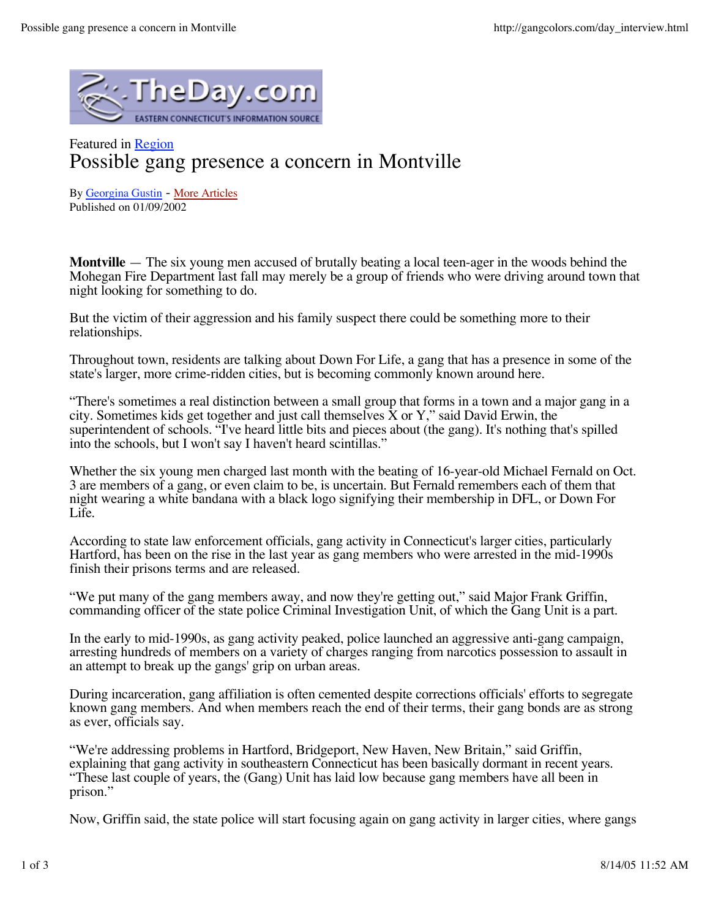

## Featured in Region Possible gang presence a concern in Montville

By Georgina Gustin - More Articles Published on 01/09/2002

**Montville** — The six young men accused of brutally beating a local teen-ager in the woods behind the Mohegan Fire Department last fall may merely be a group of friends who were driving around town that night looking for something to do.

But the victim of their aggression and his family suspect there could be something more to their relationships.

Throughout town, residents are talking about Down For Life, a gang that has a presence in some of the state's larger, more crime-ridden cities, but is becoming commonly known around here.

"There's sometimes a real distinction between a small group that forms in a town and a major gang in a city. Sometimes kids get together and just call themselves  $\bar{X}$  or Y," said David Erwin, the superintendent of schools. "I've heard little bits and pieces about (the gang). It's nothing that's spilled into the schools, but I won't say I haven't heard scintillas."

Whether the six young men charged last month with the beating of 16-year-old Michael Fernald on Oct. 3 are members of a gang, or even claim to be, is uncertain. But Fernald remembers each of them that night wearing a white bandana with a black logo signifying their membership in DFL, or Down For Life.

According to state law enforcement officials, gang activity in Connecticut's larger cities, particularly Hartford, has been on the rise in the last year as gang members who were arrested in the mid-1990s finish their prisons terms and are released.

"We put many of the gang members away, and now they're getting out," said Major Frank Griffin, commanding officer of the state police Criminal Investigation Unit, of which the Gang Unit is a part.

In the early to mid-1990s, as gang activity peaked, police launched an aggressive anti-gang campaign, arresting hundreds of members on a variety of charges ranging from narcotics possession to assault in an attempt to break up the gangs' grip on urban areas.

During incarceration, gang affiliation is often cemented despite corrections officials' efforts to segregate known gang members. And when members reach the end of their terms, their gang bonds are as strong as ever, officials say.

"We're addressing problems in Hartford, Bridgeport, New Haven, New Britain," said Griffin, explaining that gang activity in southeastern Connecticut has been basically dormant in recent years. "These last couple of years, the (Gang) Unit has laid low because gang members have all been in prison."

Now, Griffin said, the state police will start focusing again on gang activity in larger cities, where gangs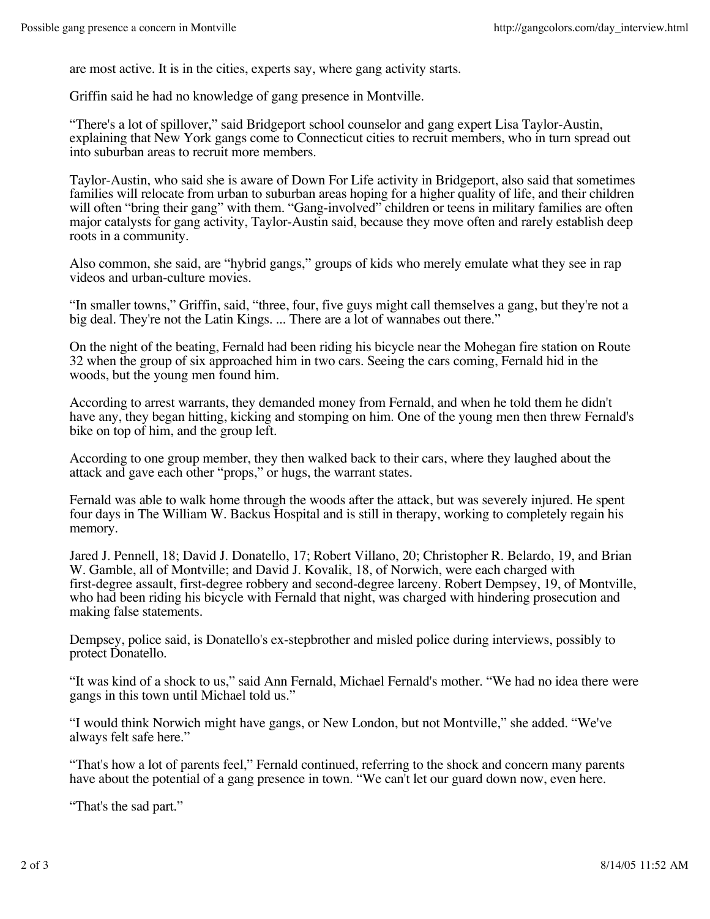are most active. It is in the cities, experts say, where gang activity starts.

Griffin said he had no knowledge of gang presence in Montville.

"There's a lot of spillover," said Bridgeport school counselor and gang expert Lisa Taylor-Austin, explaining that New York gangs come to Connecticut cities to recruit members, who in turn spread out into suburban areas to recruit more members.

Taylor-Austin, who said she is aware of Down For Life activity in Bridgeport, also said that sometimes families will relocate from urban to suburban areas hoping for a higher quality of life, and their children will often "bring their gang" with them. "Gang-involved" children or teens in military families are often major catalysts for gang activity, Taylor-Austin said, because they move often and rarely establish deep roots in a community.

Also common, she said, are "hybrid gangs," groups of kids who merely emulate what they see in rap videos and urban-culture movies.

"In smaller towns," Griffin, said, "three, four, five guys might call themselves a gang, but they're not a big deal. They're not the Latin Kings. ... There are a lot of wannabes out there."

On the night of the beating, Fernald had been riding his bicycle near the Mohegan fire station on Route 32 when the group of six approached him in two cars. Seeing the cars coming, Fernald hid in the woods, but the young men found him.

According to arrest warrants, they demanded money from Fernald, and when he told them he didn't have any, they began hitting, kicking and stomping on him. One of the young men then threw Fernald's bike on top of him, and the group left.

According to one group member, they then walked back to their cars, where they laughed about the attack and gave each other "props," or hugs, the warrant states.

Fernald was able to walk home through the woods after the attack, but was severely injured. He spent four days in The William W. Backus Hospital and is still in therapy, working to completely regain his memory.

Jared J. Pennell, 18; David J. Donatello, 17; Robert Villano, 20; Christopher R. Belardo, 19, and Brian W. Gamble, all of Montville; and David J. Kovalik, 18, of Norwich, were each charged with first-degree assault, first-degree robbery and second-degree larceny. Robert Dempsey, 19, of Montville, who had been riding his bicycle with Fernald that night, was charged with hindering prosecution and making false statements.

Dempsey, police said, is Donatello's ex-stepbrother and misled police during interviews, possibly to protect Donatello.

"It was kind of a shock to us," said Ann Fernald, Michael Fernald's mother. "We had no idea there were gangs in this town until Michael told us."

"I would think Norwich might have gangs, or New London, but not Montville," she added. "We've always felt safe here."

"That's how a lot of parents feel," Fernald continued, referring to the shock and concern many parents have about the potential of a gang presence in town. "We can't let our guard down now, even here.

"That's the sad part."